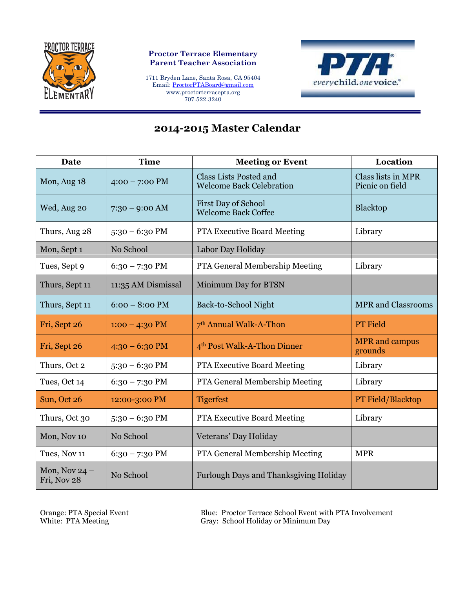

## **Proctor Terrace Elementary Parent Teacher Association**

1711 Bryden Lane, Santa Rosa, CA 95404 Email: [ProctorPTABoard@gmail.com](mailto:ProctorPTABoard@gmail.com) www.proctorterracepta.org 707-522-3240



## **2014-2015 Master Calendar**

| Date                           | <b>Time</b>        | <b>Meeting or Event</b>                                   | Location                              |
|--------------------------------|--------------------|-----------------------------------------------------------|---------------------------------------|
| Mon, Aug 18                    | $4:00 - 7:00$ PM   | Class Lists Posted and<br><b>Welcome Back Celebration</b> | Class lists in MPR<br>Picnic on field |
| Wed, Aug 20                    | $7:30 - 9:00$ AM   | <b>First Day of School</b><br><b>Welcome Back Coffee</b>  | <b>Blacktop</b>                       |
| Thurs, Aug 28                  | $5:30 - 6:30$ PM   | <b>PTA Executive Board Meeting</b>                        | Library                               |
| Mon, Sept 1                    | No School          | Labor Day Holiday                                         |                                       |
| Tues, Sept 9                   | $6:30 - 7:30$ PM   | PTA General Membership Meeting                            | Library                               |
| Thurs, Sept 11                 | 11:35 AM Dismissal | Minimum Day for BTSN                                      |                                       |
| Thurs, Sept 11                 | $6:00 - 8:00$ PM   | Back-to-School Night                                      | <b>MPR</b> and Classrooms             |
| Fri, Sept 26                   | $1:00 - 4:30$ PM   | 7 <sup>th</sup> Annual Walk-A-Thon                        | <b>PT</b> Field                       |
| Fri, Sept 26                   | $4:30 - 6:30$ PM   | 4 <sup>th</sup> Post Walk-A-Thon Dinner                   | <b>MPR</b> and campus<br>grounds      |
| Thurs, Oct 2                   | $5:30 - 6:30$ PM   | <b>PTA Executive Board Meeting</b>                        | Library                               |
| Tues, Oct 14                   | $6:30 - 7:30$ PM   | PTA General Membership Meeting                            | Library                               |
| Sun, Oct 26                    | 12:00-3:00 PM      | <b>Tigerfest</b>                                          | <b>PT Field/Blacktop</b>              |
| Thurs, Oct 30                  | $5:30 - 6:30$ PM   | <b>PTA Executive Board Meeting</b>                        | Library                               |
| Mon, Nov 10                    | No School          | Veterans' Day Holiday                                     |                                       |
| Tues, Nov 11                   | $6:30 - 7:30$ PM   | PTA General Membership Meeting                            | <b>MPR</b>                            |
| Mon, Nov $24$ –<br>Fri, Nov 28 | No School          | Furlough Days and Thanksgiving Holiday                    |                                       |

Orange: PTA Special Event Blue: Proctor Terrace School Event with PTA Involvement White: PTA Meeting Gray: School Holiday or Minimum Day Gray: School Holiday or Minimum Day